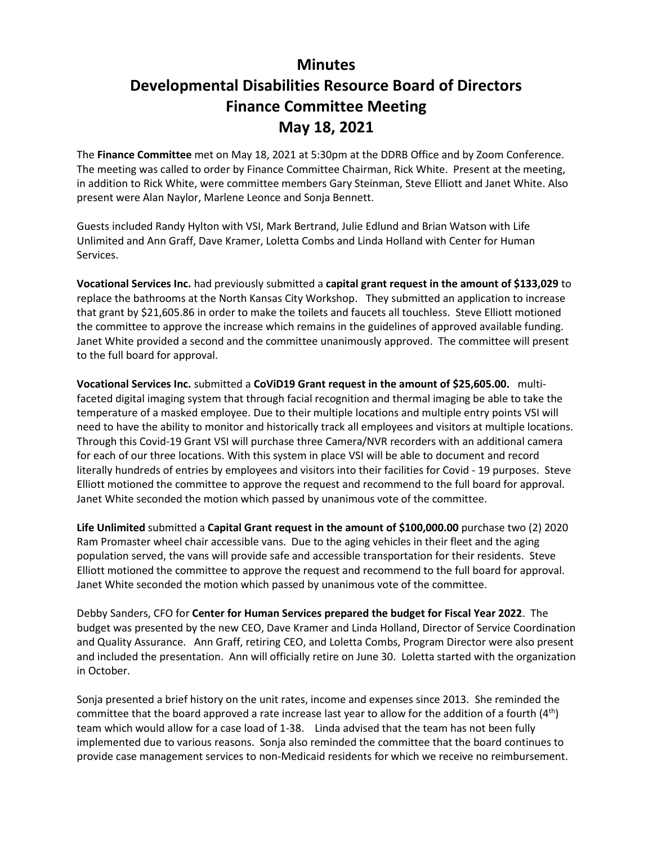## **Minutes Developmental Disabilities Resource Board of Directors Finance Committee Meeting May 18, 2021**

The **Finance Committee** met on May 18, 2021 at 5:30pm at the DDRB Office and by Zoom Conference. The meeting was called to order by Finance Committee Chairman, Rick White. Present at the meeting, in addition to Rick White, were committee members Gary Steinman, Steve Elliott and Janet White. Also present were Alan Naylor, Marlene Leonce and Sonja Bennett.

Guests included Randy Hylton with VSI, Mark Bertrand, Julie Edlund and Brian Watson with Life Unlimited and Ann Graff, Dave Kramer, Loletta Combs and Linda Holland with Center for Human Services.

**Vocational Services Inc.** had previously submitted a **capital grant request in the amount of \$133,029** to replace the bathrooms at the North Kansas City Workshop. They submitted an application to increase that grant by \$21,605.86 in order to make the toilets and faucets all touchless. Steve Elliott motioned the committee to approve the increase which remains in the guidelines of approved available funding. Janet White provided a second and the committee unanimously approved. The committee will present to the full board for approval.

**Vocational Services Inc.** submitted a **CoViD19 Grant request in the amount of \$25,605.00.** multifaceted digital imaging system that through facial recognition and thermal imaging be able to take the temperature of a masked employee. Due to their multiple locations and multiple entry points VSI will need to have the ability to monitor and historically track all employees and visitors at multiple locations. Through this Covid-19 Grant VSI will purchase three Camera/NVR recorders with an additional camera for each of our three locations. With this system in place VSI will be able to document and record literally hundreds of entries by employees and visitors into their facilities for Covid - 19 purposes. Steve Elliott motioned the committee to approve the request and recommend to the full board for approval. Janet White seconded the motion which passed by unanimous vote of the committee.

**Life Unlimited** submitted a **Capital Grant request in the amount of \$100,000.00** purchase two (2) 2020 Ram Promaster wheel chair accessible vans. Due to the aging vehicles in their fleet and the aging population served, the vans will provide safe and accessible transportation for their residents. Steve Elliott motioned the committee to approve the request and recommend to the full board for approval. Janet White seconded the motion which passed by unanimous vote of the committee.

Debby Sanders, CFO for **Center for Human Services prepared the budget for Fiscal Year 2022**. The budget was presented by the new CEO, Dave Kramer and Linda Holland, Director of Service Coordination and Quality Assurance. Ann Graff, retiring CEO, and Loletta Combs, Program Director were also present and included the presentation. Ann will officially retire on June 30. Loletta started with the organization in October.

Sonja presented a brief history on the unit rates, income and expenses since 2013. She reminded the committee that the board approved a rate increase last year to allow for the addition of a fourth  $(4<sup>th</sup>)$ team which would allow for a case load of 1-38. Linda advised that the team has not been fully implemented due to various reasons. Sonja also reminded the committee that the board continues to provide case management services to non-Medicaid residents for which we receive no reimbursement.